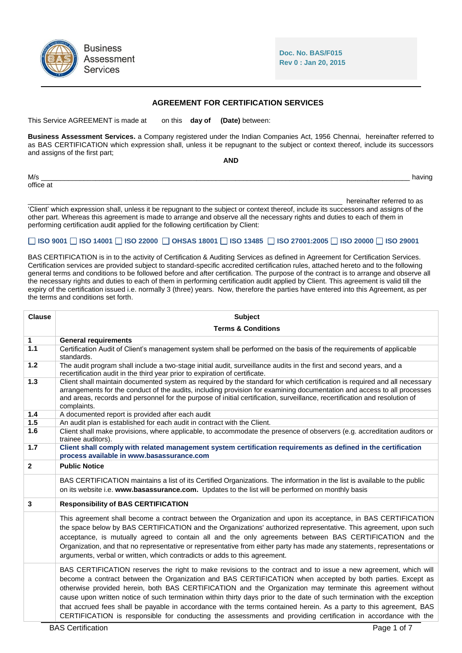

**Doc. No. BAS/F015 Rev 0 : Jan 20, 2015**

## **AGREEMENT FOR CERTIFICATION SERVICES**

This Service AGREEMENT is made at on this **day of (Date)** between:

**Business Assessment Services.** a Company registered under the Indian Companies Act, 1956 Chennai, hereinafter referred to as BAS CERTIFICATION which expression shall, unless it be repugnant to the subject or context thereof, include its successors and assigns of the first part; **AND**

|                  | <b>AIVU</b> |
|------------------|-------------|
| M/s<br>office at | having      |
|                  |             |

hereinafter referred to as

'Client' which expression shall, unless it be repugnant to the subject or context thereof, include its successors and assigns of the other part. Whereas this agreement is made to arrange and observe all the necessary rights and duties to each of them in performing certification audit applied for the following certification by Client:

## **ISO 9001 ISO 14001 ISO 22000 OHSAS 18001 ISO 13485 ISO 27001:2005 ISO 20000 ISO 29001**

BAS CERTIFICATION is in to the activity of Certification & Auditing Services as defined in Agreement for Certification Services. Certification services are provided subject to standard-specific accredited certification rules, attached hereto and to the following general terms and conditions to be followed before and after certification. The purpose of the contract is to arrange and observe all the necessary rights and duties to each of them in performing certification audit applied by Client. This agreement is valid till the expiry of the certification issued i.e. normally 3 (three) years. Now, therefore the parties have entered into this Agreement, as per the terms and conditions set forth.

| <b>Clause</b> | <b>Subject</b>                                                                                                                                                                                                                                                                                                                                                                                                                                                                                                                                                                                                                                                                                                    |  |  |
|---------------|-------------------------------------------------------------------------------------------------------------------------------------------------------------------------------------------------------------------------------------------------------------------------------------------------------------------------------------------------------------------------------------------------------------------------------------------------------------------------------------------------------------------------------------------------------------------------------------------------------------------------------------------------------------------------------------------------------------------|--|--|
|               | <b>Terms &amp; Conditions</b>                                                                                                                                                                                                                                                                                                                                                                                                                                                                                                                                                                                                                                                                                     |  |  |
| 1             | <b>General requirements</b>                                                                                                                                                                                                                                                                                                                                                                                                                                                                                                                                                                                                                                                                                       |  |  |
| 1.1           | Certification Audit of Client's management system shall be performed on the basis of the requirements of applicable<br>standards.                                                                                                                                                                                                                                                                                                                                                                                                                                                                                                                                                                                 |  |  |
| 1.2           | The audit program shall include a two-stage initial audit, surveillance audits in the first and second years, and a<br>recertification audit in the third year prior to expiration of certificate.                                                                                                                                                                                                                                                                                                                                                                                                                                                                                                                |  |  |
| 1.3           | Client shall maintain documented system as required by the standard for which certification is required and all necessary<br>arrangements for the conduct of the audits, including provision for examining documentation and access to all processes<br>and areas, records and personnel for the purpose of initial certification, surveillance, recertification and resolution of<br>complaints.                                                                                                                                                                                                                                                                                                                 |  |  |
| 1.4           | A documented report is provided after each audit                                                                                                                                                                                                                                                                                                                                                                                                                                                                                                                                                                                                                                                                  |  |  |
| 1.5           | An audit plan is established for each audit in contract with the Client.                                                                                                                                                                                                                                                                                                                                                                                                                                                                                                                                                                                                                                          |  |  |
| 1.6           | Client shall make provisions, where applicable, to accommodate the presence of observers (e.g. accreditation auditors or<br>trainee auditors).                                                                                                                                                                                                                                                                                                                                                                                                                                                                                                                                                                    |  |  |
| 1.7           | Client shall comply with related management system certification requirements as defined in the certification<br>process available in www.basassurance.com                                                                                                                                                                                                                                                                                                                                                                                                                                                                                                                                                        |  |  |
| $\mathbf{2}$  | <b>Public Notice</b>                                                                                                                                                                                                                                                                                                                                                                                                                                                                                                                                                                                                                                                                                              |  |  |
|               | BAS CERTIFICATION maintains a list of its Certified Organizations. The information in the list is available to the public<br>on its website i.e. www.basassurance.com. Updates to the list will be performed on monthly basis                                                                                                                                                                                                                                                                                                                                                                                                                                                                                     |  |  |
| 3             | <b>Responsibility of BAS CERTIFICATION</b>                                                                                                                                                                                                                                                                                                                                                                                                                                                                                                                                                                                                                                                                        |  |  |
|               | This agreement shall become a contract between the Organization and upon its acceptance, in BAS CERTIFICATION<br>the space below by BAS CERTIFICATION and the Organizations' authorized representative. This agreement, upon such<br>acceptance, is mutually agreed to contain all and the only agreements between BAS CERTIFICATION and the<br>Organization, and that no representative or representative from either party has made any statements, representations or<br>arguments, verbal or written, which contradicts or adds to this agreement.                                                                                                                                                            |  |  |
|               | BAS CERTIFICATION reserves the right to make revisions to the contract and to issue a new agreement, which will<br>become a contract between the Organization and BAS CERTIFICATION when accepted by both parties. Except as<br>otherwise provided herein, both BAS CERTIFICATION and the Organization may terminate this agreement without<br>cause upon written notice of such termination within thirty days prior to the date of such termination with the exception<br>that accrued fees shall be payable in accordance with the terms contained herein. As a party to this agreement, BAS<br>CERTIFICATION is responsible for conducting the assessments and providing certification in accordance with the |  |  |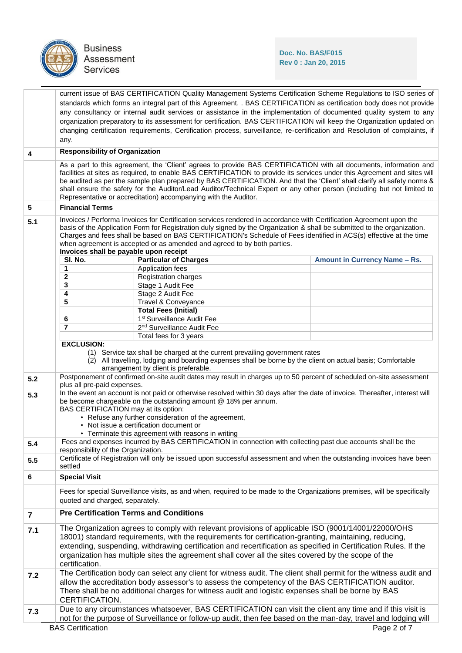

Business<br>Assessment<br>Services

## **Doc. No. BAS/F015 Rev 0 : Jan 20, 2015**

|                 | current issue of BAS CERTIFICATION Quality Management Systems Certification Scheme Regulations to ISO series of                                                                                                                                    |                                                                                                     |  |                                                                                                                                                                                                                                                |
|-----------------|----------------------------------------------------------------------------------------------------------------------------------------------------------------------------------------------------------------------------------------------------|-----------------------------------------------------------------------------------------------------|--|------------------------------------------------------------------------------------------------------------------------------------------------------------------------------------------------------------------------------------------------|
|                 | standards which forms an integral part of this Agreement. . BAS CERTIFICATION as certification body does not provide<br>any consultancy or internal audit services or assistance in the implementation of documented quality system to any         |                                                                                                     |  |                                                                                                                                                                                                                                                |
|                 | organization preparatory to its assessment for certification. BAS CERTIFICATION will keep the Organization updated on                                                                                                                              |                                                                                                     |  |                                                                                                                                                                                                                                                |
|                 |                                                                                                                                                                                                                                                    |                                                                                                     |  | changing certification requirements, Certification process, surveillance, re-certification and Resolution of complaints, if                                                                                                                    |
|                 | any.                                                                                                                                                                                                                                               |                                                                                                     |  |                                                                                                                                                                                                                                                |
| 4               | <b>Responsibility of Organization</b>                                                                                                                                                                                                              |                                                                                                     |  |                                                                                                                                                                                                                                                |
|                 |                                                                                                                                                                                                                                                    |                                                                                                     |  | As a part to this agreement, the 'Client' agrees to provide BAS CERTIFICATION with all documents, information and                                                                                                                              |
|                 |                                                                                                                                                                                                                                                    |                                                                                                     |  | facilities at sites as required, to enable BAS CERTIFICATION to provide its services under this Agreement and sites will                                                                                                                       |
|                 | be audited as per the sample plan prepared by BAS CERTIFICATION. And that the 'Client' shall clarify all safety norms &<br>shall ensure the safety for the Auditor/Lead Auditor/Technical Expert or any other person (including but not limited to |                                                                                                     |  |                                                                                                                                                                                                                                                |
|                 | Representative or accreditation) accompanying with the Auditor.                                                                                                                                                                                    |                                                                                                     |  |                                                                                                                                                                                                                                                |
| $5\phantom{.0}$ | <b>Financial Terms</b>                                                                                                                                                                                                                             |                                                                                                     |  |                                                                                                                                                                                                                                                |
| 5.1             |                                                                                                                                                                                                                                                    |                                                                                                     |  | Invoices / Performa Invoices for Certification services rendered in accordance with Certification Agreement upon the                                                                                                                           |
|                 |                                                                                                                                                                                                                                                    |                                                                                                     |  | basis of the Application Form for Registration duly signed by the Organization & shall be submitted to the organization.<br>Charges and fees shall be based on BAS CERTIFICATION's Schedule of Fees identified in ACS(s) effective at the time |
|                 |                                                                                                                                                                                                                                                    | when agreement is accepted or as amended and agreed to by both parties.                             |  |                                                                                                                                                                                                                                                |
|                 | Invoices shall be payable upon receipt                                                                                                                                                                                                             |                                                                                                     |  |                                                                                                                                                                                                                                                |
|                 | SI. No.                                                                                                                                                                                                                                            | <b>Particular of Charges</b>                                                                        |  | Amount in Currency Name - Rs.                                                                                                                                                                                                                  |
|                 | 1                                                                                                                                                                                                                                                  | Application fees                                                                                    |  |                                                                                                                                                                                                                                                |
|                 | 2<br>3                                                                                                                                                                                                                                             | Registration charges<br>Stage 1 Audit Fee                                                           |  |                                                                                                                                                                                                                                                |
|                 | 4                                                                                                                                                                                                                                                  | Stage 2 Audit Fee                                                                                   |  |                                                                                                                                                                                                                                                |
|                 | 5                                                                                                                                                                                                                                                  | Travel & Conveyance                                                                                 |  |                                                                                                                                                                                                                                                |
|                 |                                                                                                                                                                                                                                                    | <b>Total Fees (Initial)</b>                                                                         |  |                                                                                                                                                                                                                                                |
|                 | 6                                                                                                                                                                                                                                                  | 1 <sup>st</sup> Surveillance Audit Fee                                                              |  |                                                                                                                                                                                                                                                |
|                 | 7                                                                                                                                                                                                                                                  | 2 <sup>nd</sup> Surveillance Audit Fee                                                              |  |                                                                                                                                                                                                                                                |
|                 |                                                                                                                                                                                                                                                    | Total fees for 3 years                                                                              |  |                                                                                                                                                                                                                                                |
|                 | <b>EXCLUSION:</b>                                                                                                                                                                                                                                  |                                                                                                     |  |                                                                                                                                                                                                                                                |
|                 |                                                                                                                                                                                                                                                    | (1) Service tax shall be charged at the current prevailing government rates                         |  |                                                                                                                                                                                                                                                |
|                 |                                                                                                                                                                                                                                                    | arrangement by client is preferable.                                                                |  | (2) All travelling, lodging and boarding expenses shall be borne by the client on actual basis; Comfortable                                                                                                                                    |
| 5.2             |                                                                                                                                                                                                                                                    |                                                                                                     |  | Postponement of confirmed on-site audit dates may result in charges up to 50 percent of scheduled on-site assessment                                                                                                                           |
|                 | plus all pre-paid expenses.                                                                                                                                                                                                                        |                                                                                                     |  |                                                                                                                                                                                                                                                |
| 5.3             |                                                                                                                                                                                                                                                    |                                                                                                     |  | In the event an account is not paid or otherwise resolved within 30 days after the date of invoice, Thereafter, interest will                                                                                                                  |
|                 | BAS CERTIFICATION may at its option:                                                                                                                                                                                                               | be become chargeable on the outstanding amount @ 18% per annum.                                     |  |                                                                                                                                                                                                                                                |
|                 |                                                                                                                                                                                                                                                    | • Refuse any further consideration of the agreement,                                                |  |                                                                                                                                                                                                                                                |
|                 |                                                                                                                                                                                                                                                    | • Not issue a certification document or                                                             |  |                                                                                                                                                                                                                                                |
|                 |                                                                                                                                                                                                                                                    | • Terminate this agreement with reasons in writing                                                  |  |                                                                                                                                                                                                                                                |
| 5.4             | responsibility of the Organization.                                                                                                                                                                                                                |                                                                                                     |  | Fees and expenses incurred by BAS CERTIFICATION in connection with collecting past due accounts shall be the                                                                                                                                   |
| 5.5             |                                                                                                                                                                                                                                                    |                                                                                                     |  | Certificate of Registration will only be issued upon successful assessment and when the outstanding invoices have been                                                                                                                         |
|                 | settled                                                                                                                                                                                                                                            |                                                                                                     |  |                                                                                                                                                                                                                                                |
| 6               | <b>Special Visit</b>                                                                                                                                                                                                                               |                                                                                                     |  |                                                                                                                                                                                                                                                |
|                 |                                                                                                                                                                                                                                                    |                                                                                                     |  | Fees for special Surveillance visits, as and when, required to be made to the Organizations premises, will be specifically                                                                                                                     |
|                 | quoted and charged, separately.                                                                                                                                                                                                                    |                                                                                                     |  |                                                                                                                                                                                                                                                |
| $\overline{7}$  | <b>Pre Certification Terms and Conditions</b>                                                                                                                                                                                                      |                                                                                                     |  |                                                                                                                                                                                                                                                |
| 7.1             | The Organization agrees to comply with relevant provisions of applicable ISO (9001/14001/22000/OHS                                                                                                                                                 |                                                                                                     |  |                                                                                                                                                                                                                                                |
|                 | 18001) standard requirements, with the requirements for certification-granting, maintaining, reducing,                                                                                                                                             |                                                                                                     |  |                                                                                                                                                                                                                                                |
|                 |                                                                                                                                                                                                                                                    |                                                                                                     |  | extending, suspending, withdrawing certification and recertification as specified in Certification Rules. If the                                                                                                                               |
|                 |                                                                                                                                                                                                                                                    | organization has multiple sites the agreement shall cover all the sites covered by the scope of the |  |                                                                                                                                                                                                                                                |
|                 | certification.                                                                                                                                                                                                                                     |                                                                                                     |  |                                                                                                                                                                                                                                                |
| 7.2             |                                                                                                                                                                                                                                                    |                                                                                                     |  | The Certification body can select any client for witness audit. The client shall permit for the witness audit and                                                                                                                              |
|                 | allow the accreditation body assessor's to assess the competency of the BAS CERTIFICATION auditor.                                                                                                                                                 |                                                                                                     |  |                                                                                                                                                                                                                                                |
|                 |                                                                                                                                                                                                                                                    | There shall be no additional charges for witness audit and logistic expenses shall be borne by BAS  |  |                                                                                                                                                                                                                                                |
|                 | CERTIFICATION.                                                                                                                                                                                                                                     |                                                                                                     |  |                                                                                                                                                                                                                                                |
| 7.3             | Due to any circumstances whatsoever, BAS CERTIFICATION can visit the client any time and if this visit is                                                                                                                                          |                                                                                                     |  |                                                                                                                                                                                                                                                |
|                 | not for the purpose of Surveillance or follow-up audit, then fee based on the man-day, travel and lodging will                                                                                                                                     |                                                                                                     |  |                                                                                                                                                                                                                                                |
|                 | <b>BAS Certification</b><br>Page 2 of 7                                                                                                                                                                                                            |                                                                                                     |  |                                                                                                                                                                                                                                                |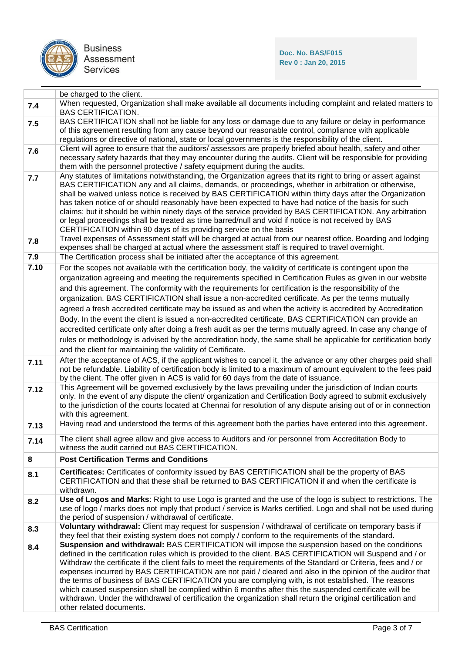

|      | be charged to the client.                                                                                                                                                                                                                                                                                                                                                                                                                                                                                                                                                                                                                                                                                                                                                                                    |
|------|--------------------------------------------------------------------------------------------------------------------------------------------------------------------------------------------------------------------------------------------------------------------------------------------------------------------------------------------------------------------------------------------------------------------------------------------------------------------------------------------------------------------------------------------------------------------------------------------------------------------------------------------------------------------------------------------------------------------------------------------------------------------------------------------------------------|
| 7.4  | When requested, Organization shall make available all documents including complaint and related matters to<br><b>BAS CERTIFICATION.</b>                                                                                                                                                                                                                                                                                                                                                                                                                                                                                                                                                                                                                                                                      |
| 7.5  | BAS CERTIFICATION shall not be liable for any loss or damage due to any failure or delay in performance<br>of this agreement resulting from any cause beyond our reasonable control, compliance with applicable<br>regulations or directive of national, state or local governments is the responsibility of the client.                                                                                                                                                                                                                                                                                                                                                                                                                                                                                     |
| 7.6  | Client will agree to ensure that the auditors/ assessors are properly briefed about health, safety and other                                                                                                                                                                                                                                                                                                                                                                                                                                                                                                                                                                                                                                                                                                 |
|      | necessary safety hazards that they may encounter during the audits. Client will be responsible for providing<br>them with the personnel protective / safety equipment during the audits.                                                                                                                                                                                                                                                                                                                                                                                                                                                                                                                                                                                                                     |
| 7.7  | Any statutes of limitations notwithstanding, the Organization agrees that its right to bring or assert against<br>BAS CERTIFICATION any and all claims, demands, or proceedings, whether in arbitration or otherwise,<br>shall be waived unless notice is received by BAS CERTIFICATION within thirty days after the Organization<br>has taken notice of or should reasonably have been expected to have had notice of the basis for such<br>claims; but it should be within ninety days of the service provided by BAS CERTIFICATION. Any arbitration<br>or legal proceedings shall be treated as time barred/null and void if notice is not received by BAS<br>CERTIFICATION within 90 days of its providing service on the basis                                                                          |
| 7.8  | Travel expenses of Assessment staff will be charged at actual from our nearest office. Boarding and lodging<br>expenses shall be charged at actual where the assessment staff is required to travel overnight.                                                                                                                                                                                                                                                                                                                                                                                                                                                                                                                                                                                               |
| 7.9  | The Certification process shall be initiated after the acceptance of this agreement.                                                                                                                                                                                                                                                                                                                                                                                                                                                                                                                                                                                                                                                                                                                         |
| 7.10 | For the scopes not available with the certification body, the validity of certificate is contingent upon the<br>organization agreeing and meeting the requirements specified in Certification Rules as given in our website<br>and this agreement. The conformity with the requirements for certification is the responsibility of the<br>organization. BAS CERTIFICATION shall issue a non-accredited certificate. As per the terms mutually<br>agreed a fresh accredited certificate may be issued as and when the activity is accredited by Accreditation                                                                                                                                                                                                                                                 |
|      | Body. In the event the client is issued a non-accredited certificate, BAS CERTIFICATION can provide an<br>accredited certificate only after doing a fresh audit as per the terms mutually agreed. In case any change of<br>rules or methodology is advised by the accreditation body, the same shall be applicable for certification body<br>and the client for maintaining the validity of Certificate.                                                                                                                                                                                                                                                                                                                                                                                                     |
| 7.11 | After the acceptance of ACS, if the applicant wishes to cancel it, the advance or any other charges paid shall<br>not be refundable. Liability of certification body is limited to a maximum of amount equivalent to the fees paid<br>by the client. The offer given in ACS is valid for 60 days from the date of issuance.                                                                                                                                                                                                                                                                                                                                                                                                                                                                                  |
| 7.12 | This Agreement will be governed exclusively by the laws prevailing under the jurisdiction of Indian courts<br>only. In the event of any dispute the client/ organization and Certification Body agreed to submit exclusively<br>to the jurisdiction of the courts located at Chennai for resolution of any dispute arising out of or in connection<br>with this agreement.                                                                                                                                                                                                                                                                                                                                                                                                                                   |
| 7.13 | Having read and understood the terms of this agreement both the parties have entered into this agreement.                                                                                                                                                                                                                                                                                                                                                                                                                                                                                                                                                                                                                                                                                                    |
| 7.14 | The client shall agree allow and give access to Auditors and /or personnel from Accreditation Body to<br>witness the audit carried out BAS CERTIFICATION.                                                                                                                                                                                                                                                                                                                                                                                                                                                                                                                                                                                                                                                    |
| 8    | <b>Post Certification Terms and Conditions</b>                                                                                                                                                                                                                                                                                                                                                                                                                                                                                                                                                                                                                                                                                                                                                               |
| 8.1  | Certificates: Certificates of conformity issued by BAS CERTIFICATION shall be the property of BAS<br>CERTIFICATION and that these shall be returned to BAS CERTIFICATION if and when the certificate is<br>withdrawn.                                                                                                                                                                                                                                                                                                                                                                                                                                                                                                                                                                                        |
| 8.2  | Use of Logos and Marks: Right to use Logo is granted and the use of the logo is subject to restrictions. The<br>use of logo / marks does not imply that product / service is Marks certified. Logo and shall not be used during<br>the period of suspension / withdrawal of certificate.                                                                                                                                                                                                                                                                                                                                                                                                                                                                                                                     |
| 8.3  | Voluntary withdrawal: Client may request for suspension / withdrawal of certificate on temporary basis if<br>they feel that their existing system does not comply / conform to the requirements of the standard.                                                                                                                                                                                                                                                                                                                                                                                                                                                                                                                                                                                             |
| 8.4  | Suspension and withdrawal: BAS CERTIFICATION will impose the suspension based on the conditions<br>defined in the certification rules which is provided to the client. BAS CERTIFICATION will Suspend and / or<br>Withdraw the certificate if the client fails to meet the requirements of the Standard or Criteria, fees and / or<br>expenses incurred by BAS CERTIFICATION are not paid / cleared and also in the opinion of the auditor that<br>the terms of business of BAS CERTIFICATION you are complying with, is not established. The reasons<br>which caused suspension shall be complied within 6 months after this the suspended certificate will be<br>withdrawn. Under the withdrawal of certification the organization shall return the original certification and<br>other related documents. |
|      |                                                                                                                                                                                                                                                                                                                                                                                                                                                                                                                                                                                                                                                                                                                                                                                                              |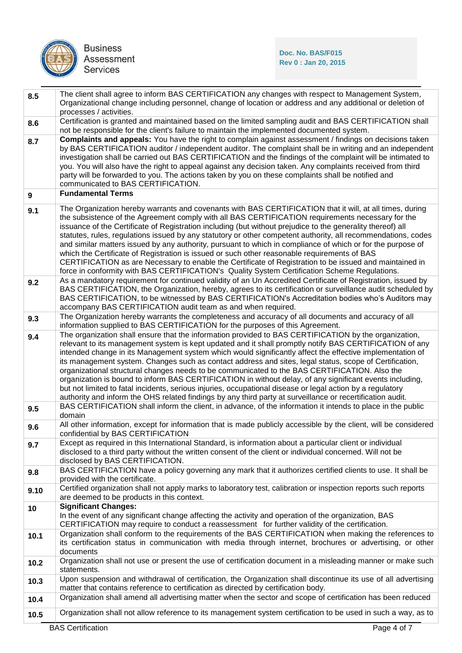

| 8.5              | The client shall agree to inform BAS CERTIFICATION any changes with respect to Management System,<br>Organizational change including personnel, change of location or address and any additional or deletion of<br>processes / activities.                                                                                                                                                                                                                                                                                                                                                                                                                                                                                                                                                                                                                                        |  |  |
|------------------|-----------------------------------------------------------------------------------------------------------------------------------------------------------------------------------------------------------------------------------------------------------------------------------------------------------------------------------------------------------------------------------------------------------------------------------------------------------------------------------------------------------------------------------------------------------------------------------------------------------------------------------------------------------------------------------------------------------------------------------------------------------------------------------------------------------------------------------------------------------------------------------|--|--|
| 8.6              | Certification is granted and maintained based on the limited sampling audit and BAS CERTIFICATION shall<br>not be responsible for the client's failure to maintain the implemented documented system.                                                                                                                                                                                                                                                                                                                                                                                                                                                                                                                                                                                                                                                                             |  |  |
| 8.7              | <b>Complaints and appeals:</b> You have the right to complain against assessment / findings on decisions taken<br>by BAS CERTIFICATION auditor / independent auditor. The complaint shall be in writing and an independent<br>investigation shall be carried out BAS CERTIFICATION and the findings of the complaint will be intimated to<br>you. You will also have the right to appeal against any decision taken. Any complaints received from third<br>party will be forwarded to you. The actions taken by you on these complaints shall be notified and<br>communicated to BAS CERTIFICATION.                                                                                                                                                                                                                                                                               |  |  |
| $\boldsymbol{9}$ | <b>Fundamental Terms</b>                                                                                                                                                                                                                                                                                                                                                                                                                                                                                                                                                                                                                                                                                                                                                                                                                                                          |  |  |
| 9.1              | The Organization hereby warrants and covenants with BAS CERTIFICATION that it will, at all times, during<br>the subsistence of the Agreement comply with all BAS CERTIFICATION requirements necessary for the<br>issuance of the Certificate of Registration including (but without prejudice to the generality thereof) all<br>statutes, rules, regulations issued by any statutory or other competent authority, all recommendations, codes<br>and similar matters issued by any authority, pursuant to which in compliance of which or for the purpose of<br>which the Certificate of Registration is issued or such other reasonable requirements of BAS<br>CERTIFICATION as are Necessary to enable the Certificate of Registration to be issued and maintained in<br>force in conformity with BAS CERTIFICATION's Quality System Certification Scheme Regulations.          |  |  |
| 9.2              | As a mandatory requirement for continued validity of an Un Accredited Certificate of Registration, issued by<br>BAS CERTIFICATION, the Organization, hereby, agrees to its certification or surveillance audit scheduled by<br>BAS CERTIFICATION, to be witnessed by BAS CERTIFICATION's Accreditation bodies who's Auditors may<br>accompany BAS CERTIFICATION audit team as and when required.                                                                                                                                                                                                                                                                                                                                                                                                                                                                                  |  |  |
| 9.3              | The Organization hereby warrants the completeness and accuracy of all documents and accuracy of all<br>information supplied to BAS CERTIFICATION for the purposes of this Agreement.                                                                                                                                                                                                                                                                                                                                                                                                                                                                                                                                                                                                                                                                                              |  |  |
| 9.4              | The organization shall ensure that the information provided to BAS CERTIFICATION by the organization,<br>relevant to its management system is kept updated and it shall promptly notify BAS CERTIFICATION of any<br>intended change in its Management system which would significantly affect the effective implementation of<br>its management system. Changes such as contact address and sites, legal status, scope of Certification,<br>organizational structural changes needs to be communicated to the BAS CERTIFICATION. Also the<br>organization is bound to inform BAS CERTIFICATION in without delay, of any significant events including,<br>but not limited to fatal incidents, serious injuries, occupational disease or legal action by a regulatory<br>authority and inform the OHS related findings by any third party at surveillance or recertification audit. |  |  |
| 9.5              | BAS CERTIFICATION shall inform the client, in advance, of the information it intends to place in the public<br>domain                                                                                                                                                                                                                                                                                                                                                                                                                                                                                                                                                                                                                                                                                                                                                             |  |  |
| 9.6              | All other information, except for information that is made publicly accessible by the client, will be considered<br>confidential by BAS CERTIFICATION                                                                                                                                                                                                                                                                                                                                                                                                                                                                                                                                                                                                                                                                                                                             |  |  |
| 9.7              | Except as required in this International Standard, is information about a particular client or individual<br>disclosed to a third party without the written consent of the client or individual concerned. Will not be<br>disclosed by BAS CERTIFICATION.                                                                                                                                                                                                                                                                                                                                                                                                                                                                                                                                                                                                                         |  |  |
| 9.8              | BAS CERTIFICATION have a policy governing any mark that it authorizes certified clients to use. It shall be<br>provided with the certificate.                                                                                                                                                                                                                                                                                                                                                                                                                                                                                                                                                                                                                                                                                                                                     |  |  |
| 9.10             | Certified organization shall not apply marks to laboratory test, calibration or inspection reports such reports<br>are deemed to be products in this context.                                                                                                                                                                                                                                                                                                                                                                                                                                                                                                                                                                                                                                                                                                                     |  |  |
| 10               | <b>Significant Changes:</b><br>In the event of any significant change affecting the activity and operation of the organization, BAS<br>CERTIFICATION may require to conduct a reassessment for further validity of the certification.                                                                                                                                                                                                                                                                                                                                                                                                                                                                                                                                                                                                                                             |  |  |
| 10.1             | Organization shall conform to the requirements of the BAS CERTIFICATION when making the references to<br>its certification status in communication with media through internet, brochures or advertising, or other<br>documents                                                                                                                                                                                                                                                                                                                                                                                                                                                                                                                                                                                                                                                   |  |  |
| 10.2             | Organization shall not use or present the use of certification document in a misleading manner or make such<br>statements.                                                                                                                                                                                                                                                                                                                                                                                                                                                                                                                                                                                                                                                                                                                                                        |  |  |
| 10.3             | Upon suspension and withdrawal of certification, the Organization shall discontinue its use of all advertising<br>matter that contains reference to certification as directed by certification body.                                                                                                                                                                                                                                                                                                                                                                                                                                                                                                                                                                                                                                                                              |  |  |
| 10.4             | Organization shall amend all advertising matter when the sector and scope of certification has been reduced                                                                                                                                                                                                                                                                                                                                                                                                                                                                                                                                                                                                                                                                                                                                                                       |  |  |
| 10.5             | Organization shall not allow reference to its management system certification to be used in such a way, as to                                                                                                                                                                                                                                                                                                                                                                                                                                                                                                                                                                                                                                                                                                                                                                     |  |  |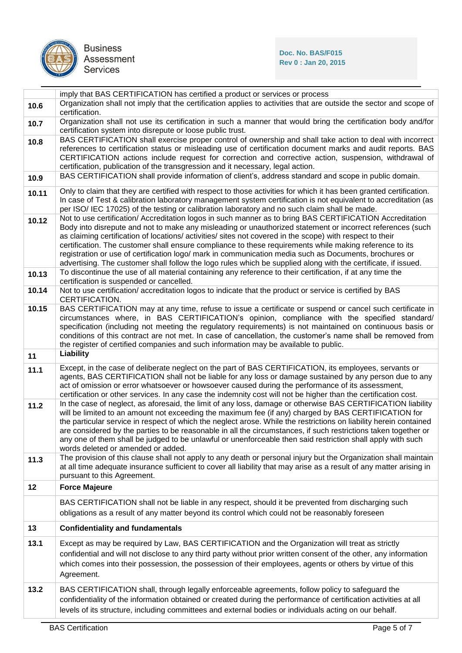

**Doc. No. BAS/F015 Rev 0 : Jan 20, 2015**

|       | imply that BAS CERTIFICATION has certified a product or services or process                                                                                                                                                                                                                                                                                                                                                                                                                                                                                                                                                                                                                                                           |
|-------|---------------------------------------------------------------------------------------------------------------------------------------------------------------------------------------------------------------------------------------------------------------------------------------------------------------------------------------------------------------------------------------------------------------------------------------------------------------------------------------------------------------------------------------------------------------------------------------------------------------------------------------------------------------------------------------------------------------------------------------|
| 10.6  | Organization shall not imply that the certification applies to activities that are outside the sector and scope of<br>certification.                                                                                                                                                                                                                                                                                                                                                                                                                                                                                                                                                                                                  |
| 10.7  | Organization shall not use its certification in such a manner that would bring the certification body and/for<br>certification system into disrepute or loose public trust.                                                                                                                                                                                                                                                                                                                                                                                                                                                                                                                                                           |
| 10.8  | BAS CERTIFICATION shall exercise proper control of ownership and shall take action to deal with incorrect<br>references to certification status or misleading use of certification document marks and audit reports. BAS<br>CERTIFICATION actions include request for correction and corrective action, suspension, withdrawal of<br>certification, publication of the transgression and it necessary, legal action.                                                                                                                                                                                                                                                                                                                  |
| 10.9  | BAS CERTIFICATION shall provide information of client's, address standard and scope in public domain.                                                                                                                                                                                                                                                                                                                                                                                                                                                                                                                                                                                                                                 |
| 10.11 | Only to claim that they are certified with respect to those activities for which it has been granted certification.<br>In case of Test & calibration laboratory management system certification is not equivalent to accreditation (as<br>per ISO/ IEC 17025) of the testing or calibration laboratory and no such claim shall be made.                                                                                                                                                                                                                                                                                                                                                                                               |
| 10.12 | Not to use certification/Accreditation logos in such manner as to bring BAS CERTIFICATION Accreditation<br>Body into disrepute and not to make any misleading or unauthorized statement or incorrect references (such<br>as claiming certification of locations/ activities/ sites not covered in the scope) with respect to their<br>certification. The customer shall ensure compliance to these requirements while making reference to its<br>registration or use of certification logo/ mark in communication media such as Documents, brochures or<br>advertising. The customer shall follow the logo rules which be supplied along with the certificate, if issued.                                                             |
| 10.13 | To discontinue the use of all material containing any reference to their certification, if at any time the<br>certification is suspended or cancelled.                                                                                                                                                                                                                                                                                                                                                                                                                                                                                                                                                                                |
| 10.14 | Not to use certification/accreditation logos to indicate that the product or service is certified by BAS<br>CERTIFICATION.                                                                                                                                                                                                                                                                                                                                                                                                                                                                                                                                                                                                            |
| 10.15 | BAS CERTIFICATION may at any time, refuse to issue a certificate or suspend or cancel such certificate in<br>circumstances where, in BAS CERTIFICATION's opinion, compliance with the specified standard/<br>specification (including not meeting the regulatory requirements) is not maintained on continuous basis or<br>conditions of this contract are not met. In case of cancellation, the customer's name shall be removed from<br>the register of certified companies and such information may be available to public.                                                                                                                                                                                                        |
| 11    | Liability                                                                                                                                                                                                                                                                                                                                                                                                                                                                                                                                                                                                                                                                                                                             |
|       |                                                                                                                                                                                                                                                                                                                                                                                                                                                                                                                                                                                                                                                                                                                                       |
| 11.1  | Except, in the case of deliberate neglect on the part of BAS CERTIFICATION, its employees, servants or<br>agents, BAS CERTIFICATION shall not be liable for any loss or damage sustained by any person due to any<br>act of omission or error whatsoever or howsoever caused during the performance of its assessment,                                                                                                                                                                                                                                                                                                                                                                                                                |
| 11.2  | certification or other services. In any case the indemnity cost will not be higher than the certification cost.<br>In the case of neglect, as aforesaid, the limit of any loss, damage or otherwise BAS CERTIFICATION liability<br>will be limited to an amount not exceeding the maximum fee (if any) charged by BAS CERTIFICATION for<br>the particular service in respect of which the neglect arose. While the restrictions on liability herein contained<br>are considered by the parties to be reasonable in all the circumstances, if such restrictions taken together or<br>any one of them shall be judged to be unlawful or unenforceable then said restriction shall apply with such<br>words deleted or amended or added. |
| 11.3  | The provision of this clause shall not apply to any death or personal injury but the Organization shall maintain<br>at all time adequate insurance sufficient to cover all liability that may arise as a result of any matter arising in<br>pursuant to this Agreement.                                                                                                                                                                                                                                                                                                                                                                                                                                                               |
| 12    | <b>Force Majeure</b>                                                                                                                                                                                                                                                                                                                                                                                                                                                                                                                                                                                                                                                                                                                  |
|       | BAS CERTIFICATION shall not be liable in any respect, should it be prevented from discharging such<br>obligations as a result of any matter beyond its control which could not be reasonably foreseen                                                                                                                                                                                                                                                                                                                                                                                                                                                                                                                                 |
| 13    | <b>Confidentiality and fundamentals</b>                                                                                                                                                                                                                                                                                                                                                                                                                                                                                                                                                                                                                                                                                               |
| 13.1  | Except as may be required by Law, BAS CERTIFICATION and the Organization will treat as strictly<br>confidential and will not disclose to any third party without prior written consent of the other, any information<br>which comes into their possession, the possession of their employees, agents or others by virtue of this<br>Agreement.                                                                                                                                                                                                                                                                                                                                                                                        |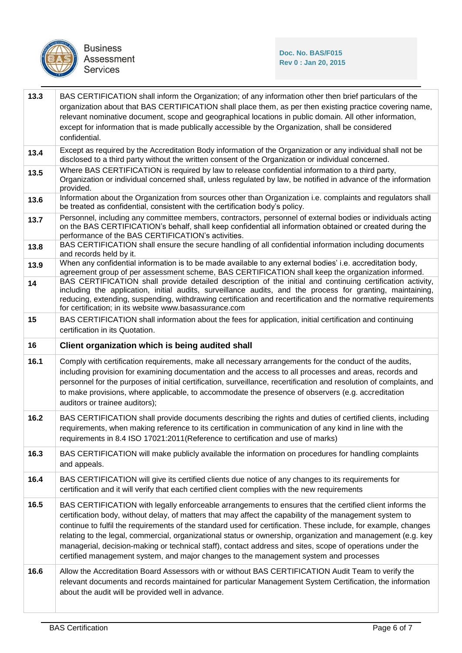

| 13.3 | BAS CERTIFICATION shall inform the Organization; of any information other then brief particulars of the<br>organization about that BAS CERTIFICATION shall place them, as per then existing practice covering name,<br>relevant nominative document, scope and geographical locations in public domain. All other information,<br>except for information that is made publically accessible by the Organization, shall be considered<br>confidential.                                                                                                                                                                                                         |  |  |
|------|---------------------------------------------------------------------------------------------------------------------------------------------------------------------------------------------------------------------------------------------------------------------------------------------------------------------------------------------------------------------------------------------------------------------------------------------------------------------------------------------------------------------------------------------------------------------------------------------------------------------------------------------------------------|--|--|
| 13.4 | Except as required by the Accreditation Body information of the Organization or any individual shall not be<br>disclosed to a third party without the written consent of the Organization or individual concerned.                                                                                                                                                                                                                                                                                                                                                                                                                                            |  |  |
| 13.5 | Where BAS CERTIFICATION is required by law to release confidential information to a third party,<br>Organization or individual concerned shall, unless regulated by law, be notified in advance of the information<br>provided.                                                                                                                                                                                                                                                                                                                                                                                                                               |  |  |
| 13.6 | Information about the Organization from sources other than Organization i.e. complaints and regulators shall<br>be treated as confidential, consistent with the certification body's policy.                                                                                                                                                                                                                                                                                                                                                                                                                                                                  |  |  |
| 13.7 | Personnel, including any committee members, contractors, personnel of external bodies or individuals acting<br>on the BAS CERTIFICATION's behalf, shall keep confidential all information obtained or created during the<br>performance of the BAS CERTIFICATION's activities.                                                                                                                                                                                                                                                                                                                                                                                |  |  |
| 13.8 | BAS CERTIFICATION shall ensure the secure handling of all confidential information including documents<br>and records held by it.                                                                                                                                                                                                                                                                                                                                                                                                                                                                                                                             |  |  |
| 13.9 | When any confidential information is to be made available to any external bodies' i.e. accreditation body,<br>agreement group of per assessment scheme, BAS CERTIFICATION shall keep the organization informed.                                                                                                                                                                                                                                                                                                                                                                                                                                               |  |  |
| 14   | BAS CERTIFICATION shall provide detailed description of the initial and continuing certification activity,<br>including the application, initial audits, surveillance audits, and the process for granting, maintaining,<br>reducing, extending, suspending, withdrawing certification and recertification and the normative requirements<br>for certification; in its website www.basassurance.com                                                                                                                                                                                                                                                           |  |  |
| 15   | BAS CERTIFICATION shall information about the fees for application, initial certification and continuing<br>certification in its Quotation.                                                                                                                                                                                                                                                                                                                                                                                                                                                                                                                   |  |  |
| 16   | Client organization which is being audited shall                                                                                                                                                                                                                                                                                                                                                                                                                                                                                                                                                                                                              |  |  |
|      |                                                                                                                                                                                                                                                                                                                                                                                                                                                                                                                                                                                                                                                               |  |  |
| 16.1 | Comply with certification requirements, make all necessary arrangements for the conduct of the audits,<br>including provision for examining documentation and the access to all processes and areas, records and<br>personnel for the purposes of initial certification, surveillance, recertification and resolution of complaints, and<br>to make provisions, where applicable, to accommodate the presence of observers (e.g. accreditation<br>auditors or trainee auditors);                                                                                                                                                                              |  |  |
| 16.2 | BAS CERTIFICATION shall provide documents describing the rights and duties of certified clients, including<br>requirements, when making reference to its certification in communication of any kind in line with the<br>requirements in 8.4 ISO 17021:2011(Reference to certification and use of marks)                                                                                                                                                                                                                                                                                                                                                       |  |  |
| 16.3 | BAS CERTIFICATION will make publicly available the information on procedures for handling complaints<br>and appeals.                                                                                                                                                                                                                                                                                                                                                                                                                                                                                                                                          |  |  |
| 16.4 | BAS CERTIFICATION will give its certified clients due notice of any changes to its requirements for<br>certification and it will verify that each certified client complies with the new requirements                                                                                                                                                                                                                                                                                                                                                                                                                                                         |  |  |
| 16.5 | BAS CERTIFICATION with legally enforceable arrangements to ensures that the certified client informs the<br>certification body, without delay, of matters that may affect the capability of the management system to<br>continue to fulfil the requirements of the standard used for certification. These include, for example, changes<br>relating to the legal, commercial, organizational status or ownership, organization and management (e.g. key<br>managerial, decision-making or technical staff), contact address and sites, scope of operations under the<br>certified management system, and major changes to the management system and processes |  |  |